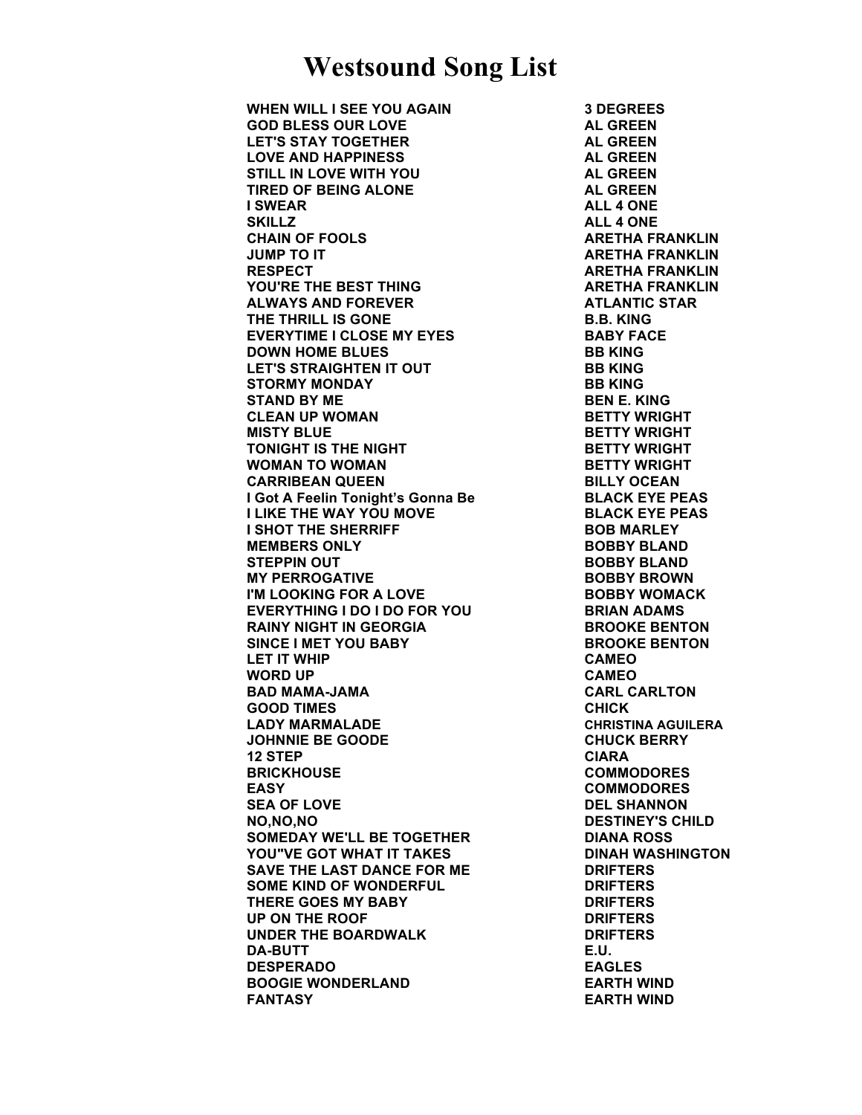**WHEN WILL I SEE YOU AGAIN 3 DEGREES GOD BLESS OUR LOVE AL GREEN LET'S STAY TOGETHER AL GREEN LOVE AND HAPPINESS AL GREEN STILL IN LOVE WITH YOU AL GREEN TIRED OF BEING ALONE AL GREEN I SWEAR ALL 4 ONE SKILLZ ALL 4 ONE CHAIN OF FOOLS ARETHA FRANKLIN JUMP TO IT ARETHA FRANKLIN RESPECT ARETHA FRANKLIN YOU'RE THE BEST THING ARETHA FRANKLIN ALWAYS AND FOREVER ATLANTIC STAR THE THRILL IS GONE B.B. KING EVERYTIME I CLOSE MY EYES BABY FACE DOWN HOME BLUES BB KING LET'S STRAIGHTEN IT OUT BB KING STORMY MONDAY BB KING STAND BY ME BEN E. KING CLEAN UP WOMAN BETTY WRIGHT MISTY BLUE BETTY WRIGHT TONIGHT IS THE NIGHT BETTY WRIGHT WOMAN TO WOMAN BETTY WRIGHT CARRIBEAN QUEEN BILLY OCEAN I Got A Feelin Tonight's Gonna Be BLACK EYE PEAS I LIKE THE WAY YOU MOVE BLACK EYE PEAS I SHOT THE SHERRIFF BOB MARLEY MEMBERS ONLY BOBBY BLAND STEPPIN OUT BOBBY BLAND MY PERROGATIVE BOBBY BROWN I'M LOOKING FOR A LOVE THE BOBBY WOMACK EVERYTHING I DO I DO FOR YOU BRIAN ADAMS RAINY NIGHT IN GEORGIA BROOKE BENTON SINCE I MET YOU BABY BROOKE BENTON LET IT WHIP CAMEO WORD UP CAMEO BAD MAMA-JAMA CARL CARLTON GOOD TIMES CHICK LADY MARMALADE CHRISTINA AGUILERA JOHNNIE BE GOODE CHUCK BERRY 12 STEP CIARA BRICKHOUSE COMMODORES EASY COMMODORES SEA OF LOVE DEL SHANNON NO,NO,NO DESTINEY'S CHILD SOMEDAY WE'LL BE TOGETHER DIANA ROSS YOU"VE GOT WHAT IT TAKES DINAH WASHINGTON SAVE THE LAST DANCE FOR ME DRIFTERS SOME KIND OF WONDERFUL DRIFTERS THERE GOES MY BABY DRIFTERS UP ON THE ROOF DRIFTERS UNDER THE BOARDWALK DRIFTERS DA-BUTT E.U. DESPERADO EAGLES BOOGIE WONDERLAND EARTH WIND FANTASY EARTH WIND**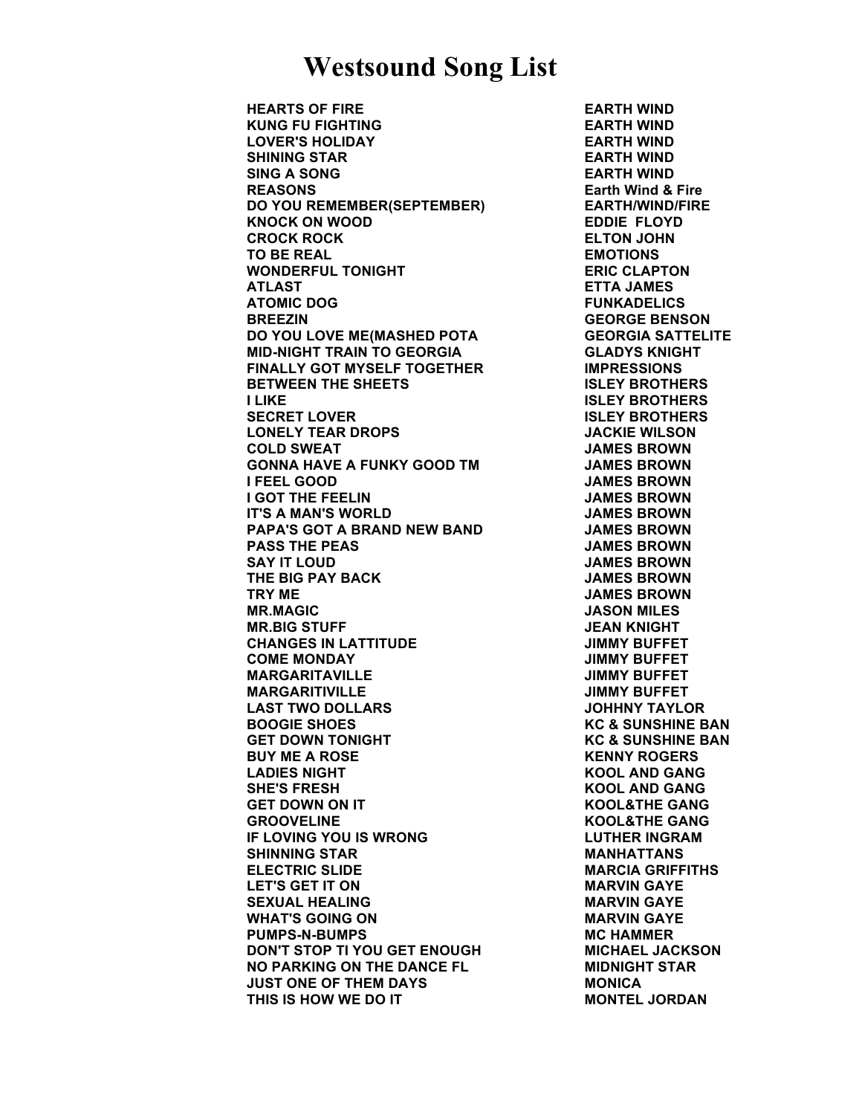**HEARTS OF FIRE EARTH WIND KUNG FU FIGHTING EARTH WIND LOVER'S HOLIDAY EARTH WIND SHINING STAR EARTH WIND SING A SONG EARTH WIND REASONS Earth Wind & Fire DO YOU REMEMBER(SEPTEMBER) EARTH/WIND/FIRE KNOCK ON WOOD EDDIE FLOYD CROCK ROCK ELTON JOHN TO BE REAL EMOTIONS WONDERFUL TONIGHT ERIC CLAPTON ATLAST ETTA JAMES ATOMIC DOG FUNKADELICS BREEZIN GEORGE BENSON DO YOU LOVE ME(MASHED POTA GEORGIA SATTELITE MID-NIGHT TRAIN TO GEORGIA GLADYS KNIGHT FINALLY GOT MYSELF TOGETHER IMPRESSIONS BETWEEN THE SHEETS ISLEY BROTHERS I LIKE ISLEY BROTHERS SECRET LOVER ISLEY BROTHERS LONELY TEAR DROPS JACKIE WILSON COLD SWEAT JAMES BROWN GONNA HAVE A FUNKY GOOD TM JAMES BROWN I FEEL GOOD JAMES BROWN I GOT THE FEELIN JAMES BROWN IT'S A MAN'S WORLD JAMES BROWN PAPA'S GOT A BRAND NEW BAND JAMES BROWN PASS THE PEAS JAMES BROWN SAY IT LOUD JAMES BROWN THE BIG PAY BACK JAMES BROWN TRY ME JAMES BROWN MR.MAGIC JASON MILES MR.BIG STUFF JEAN KNIGHT CHANGES IN LATTITUDE JIMMY BUFFET COME MONDAY JIMMY BUFFET MARGARITAVILLE JIMMY BUFFET MARGARITIVILLE JIMMY BUFFET LAST TWO DOLLARS JOHHNY TAYLOR BOOGIE SHOES KC & SUNSHINE BAN GET DOWN TONIGHT KC & SUNSHINE BAN BUY ME A ROSE KENNY ROGERS LADIES NIGHT KOOL AND GANG SHE'S FRESH KOOL AND GANG GET DOWN ON IT KOOL&THE GANG GROOVELINE KOOL&THE GANG IF LOVING YOU IS WRONG LUTHER INGRAM SHINNING STAR MANHATTANS ELECTRIC SLIDE MARCIA GRIFFITHS LET'S GET IT ON MARVIN GAYE SEXUAL HEALING MARVIN GAYE WHAT'S GOING ON MARVIN GAYE PUMPS-N-BUMPS MC HAMMER DON'T STOP TI YOU GET ENOUGH MICHAEL JACKSON NO PARKING ON THE DANCE FL MIDNIGHT STAR JUST ONE OF THEM DAYS MONICA THIS IS HOW WE DO IT MONTEL JORDAN**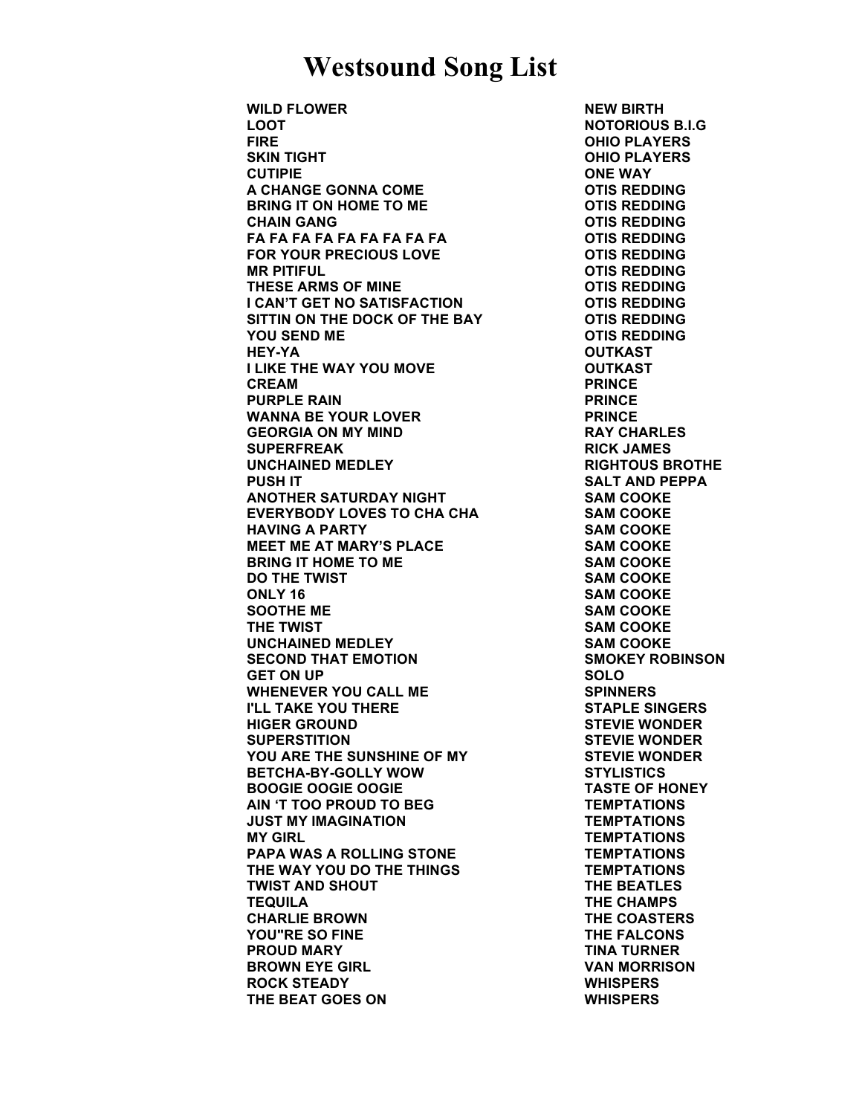**WILD FLOWER NEW BIRTH LOOT NOTORIOUS B.I.G FIRE OHIO PLAYERS SKIN TIGHT OHIO PLAYERS CUTIPIE ONE WAY A CHANGE GONNA COME OTIS REDDING BRING IT ON HOME TO ME OTIS REDDING CHAIN GANG OTIS REDDING FA FA FA FA FA FA FA FA FA OTIS REDDING FOR YOUR PRECIOUS LOVE OTIS REDDING MR PITIFUL OTIS REDDING THESE ARMS OF MINE OTIS REDDING I CAN'T GET NO SATISFACTION COTIS REDDING SITTIN ON THE DOCK OF THE BAY OTIS REDDING YOU SEND ME OTIS REDDING HEY-YA OUTKAST I LIKE THE WAY YOU MOVE OUTKAST CREAM PRINCE PURPLE RAIN PRINCE WANNA BE YOUR LOVER FRINCE GEORGIA ON MY MIND RAY CHARLES SUPERFREAK RICK JAMES UNCHAINED MEDLEY RIGHTOUS BROTHE PUSH IT SALT AND PEPPA ANOTHER SATURDAY NIGHT SAM COOKE EVERYBODY LOVES TO CHA CHA SAM COOKE HAVING A PARTY SAM COOKE MEET ME AT MARY'S PLACE SAM COOKE BRING IT HOME TO ME SAM COOKE DO THE TWIST SAM COOKE ONLY 16 SAM COOKE SOOTHE ME SAM COOKE THE TWIST SAM COOKE UNCHAINED MEDLEY SAM COOKE SECOND THAT EMOTION SMOKEY ROBINSON GET ON UP SOLO** WHENEVER YOU CALL ME SPINNERS **I'LL TAKE YOU THERE STAPLE SINGERS HIGER GROUND STEVIE WONDER SUPERSTITION STEVIE WONDER YOU ARE THE SUNSHINE OF MY STEVIE WONDER BETCHA-BY-GOLLY WOW STYLISTICS BOOGIE OOGIE OOGIE TASTE OF HONEY AIN 'T TOO PROUD TO BEG TEMPTATIONS JUST MY IMAGINATION TEMPTATIONS MY GIRL TEMPTATIONS PAPA WAS A ROLLING STONE TEMPTATIONS THE WAY YOU DO THE THINGS TEMPTATIONS TWIST AND SHOUT THE BEATLES TEQUILA THE CHAMPS CHARLIE BROWN THE COASTERS YOU"RE SO FINE THE FALCONS PROUD MARY TINA TURNER BROWN EYE GIRL SERVICE SERVICE SERVICE SERVICE SERVICE SERVICE SERVICE SERVICE SERVICE SERVICE SERVICE SERVICE SERVICE SERVICE SERVICE SERVICE SERVICE SERVICE SERVICE SERVICE SERVICE SERVICE SERVICE SERVICE SERVICE SERVIC ROCK STEADY WHISPERS THE BEAT GOES ON WHISPERS**